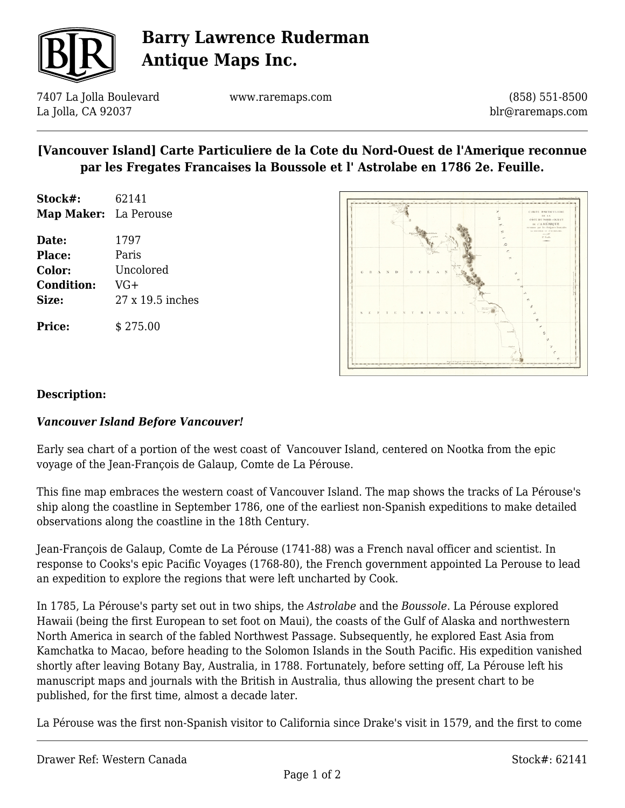

# **Barry Lawrence Ruderman Antique Maps Inc.**

7407 La Jolla Boulevard La Jolla, CA 92037

www.raremaps.com

(858) 551-8500 blr@raremaps.com

### **[Vancouver Island] Carte Particuliere de la Cote du Nord-Ouest de l'Amerique reconnue par les Fregates Francaises la Boussole et l' Astrolabe en 1786 2e. Feuille.**

| Stock#:               | 62141 |
|-----------------------|-------|
| Map Maker: La Perouse |       |

**Date:** 1797 **Place:** Paris **Color:** Uncolored **Condition:** VG+ **Size:** 27 x 19.5 inches **Price:**  $$275.00$ 



#### **Description:**

#### *Vancouver Island Before Vancouver!*

Early sea chart of a portion of the west coast of Vancouver Island, centered on Nootka from the epic voyage of the Jean-François de Galaup, Comte de La Pérouse.

This fine map embraces the western coast of Vancouver Island. The map shows the tracks of La Pérouse's ship along the coastline in September 1786, one of the earliest non-Spanish expeditions to make detailed observations along the coastline in the 18th Century.

Jean-François de Galaup, Comte de La Pérouse (1741-88) was a French naval officer and scientist. In response to Cooks's epic Pacific Voyages (1768-80), the French government appointed La Perouse to lead an expedition to explore the regions that were left uncharted by Cook.

In 1785, La Pérouse's party set out in two ships, the *Astrolabe* and the *Boussole*. La Pérouse explored Hawaii (being the first European to set foot on Maui), the coasts of the Gulf of Alaska and northwestern North America in search of the fabled Northwest Passage. Subsequently, he explored East Asia from Kamchatka to Macao, before heading to the Solomon Islands in the South Pacific. His expedition vanished shortly after leaving Botany Bay, Australia, in 1788. Fortunately, before setting off, La Pérouse left his manuscript maps and journals with the British in Australia, thus allowing the present chart to be published, for the first time, almost a decade later.

La Pérouse was the first non-Spanish visitor to California since Drake's visit in 1579, and the first to come